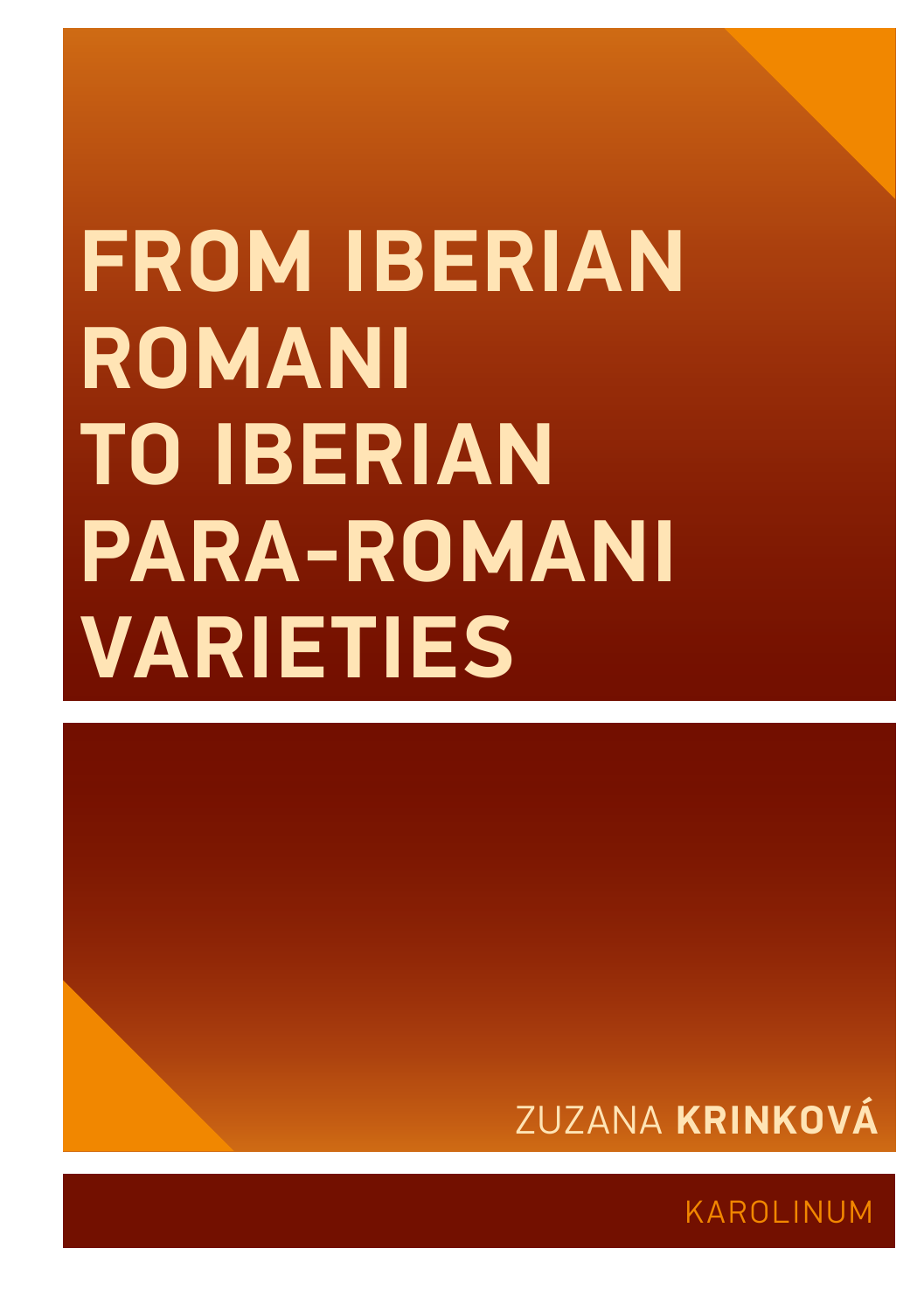# **FROM IBERIAN ROMANI TO IBERIAN PARA-ROMANI VARIETIES**



KAROLINUM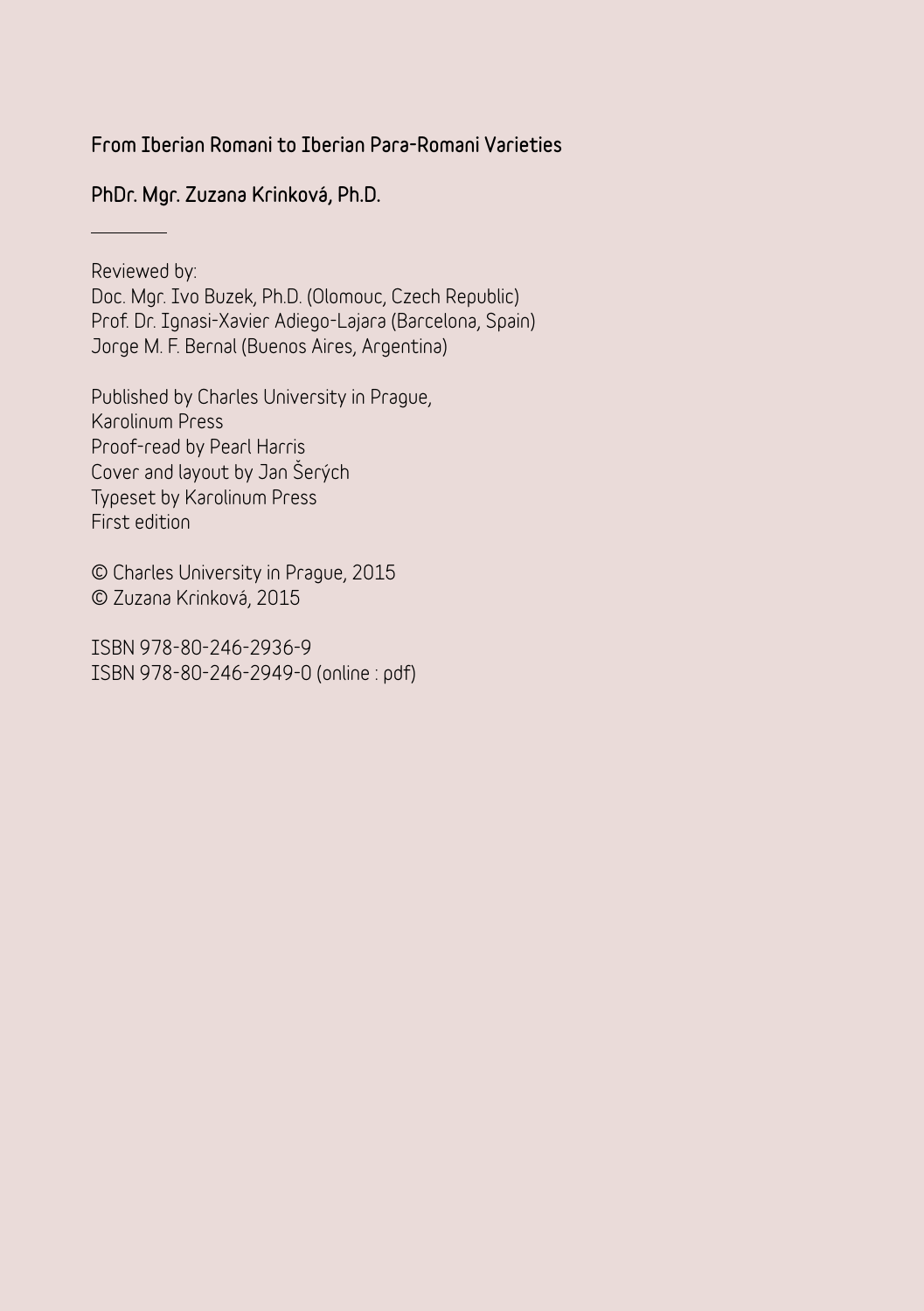# From Iberian Romani to Iberian Para-Romani Varieties

PhDr. Mgr. Zuzana Krinková, Ph.D.

**Reviewed by:** 

**Doc. Mgr. Ivo Buzek, Ph.D. (Olomouc, Czech Republic) Prof. Dr. Ignasi-Xavier Adiego-Lajara (Barcelona, Spain) Jorge M. F. Bernal (Buenos Aires, Argentina)**

**Published by Charles University in Prague, Karolinum Press Proof-read by Pearl Harris Cover and layout by Jan Šerých Typeset by Karolinum Press First edition**

**© Charles University in Prague, 2015 © Zuzana Krinková, 2015**

**ISBN 978-80-246-2936-9 ISBN 978-80-246-2949-0 (online : pdf)**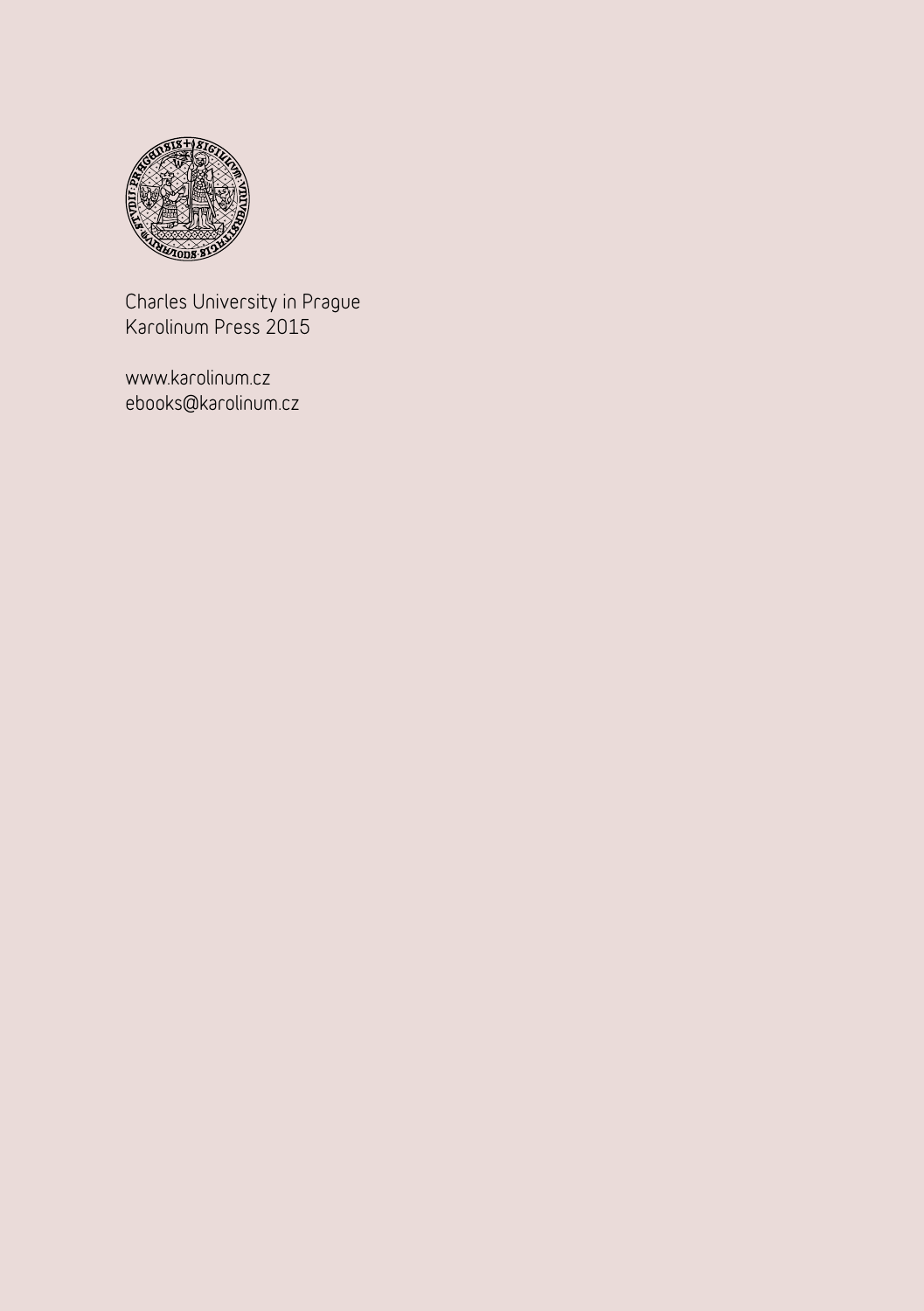

**Charles University in Prague Karolinum Press 2015**

**www.karolinum.cz ebooks@karolinum.cz**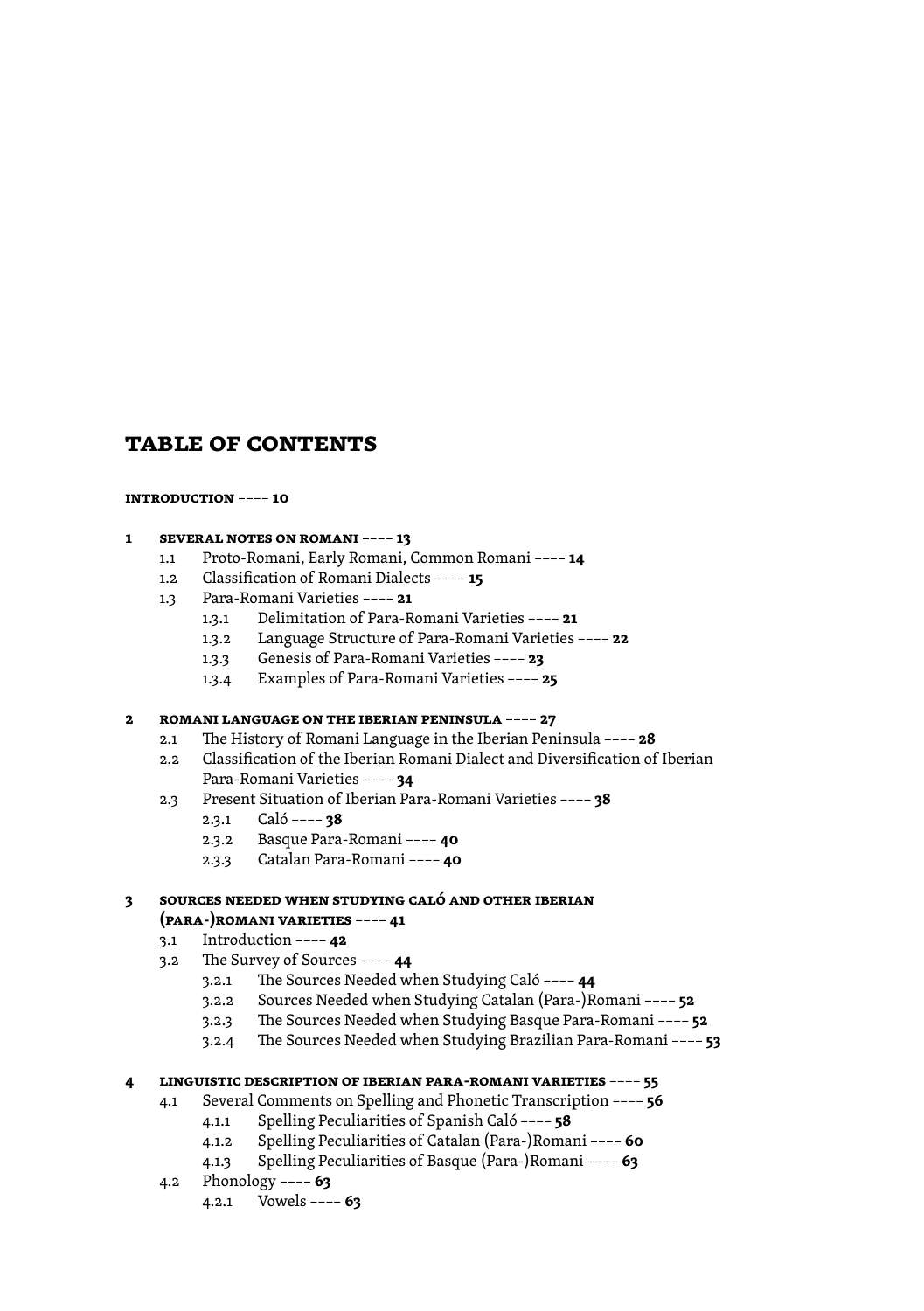# **table of contents**

#### **[introduction](#page-9-0)** –––– **10**

#### **1 [several notes on romani](#page-12-0)** –––– **13**

- 1.1 [Proto-Romani, Early Romani, Common Romani ––––](#page-13-0) **14**
- 1.2 [Classification of Romani Dialects ––––](#page-14-0) **15**
- 1.3 [Para-Romani Varieties ––––](#page--1-0) **21**
	- 1.3.1 [Delimitation of Para-Romani Varieties ––––](#page--1-0) **21**
	- 1.3.2 [Language Structure of Para-Romani Varieties ––––](#page--1-0) **22**
	- 1.3.3 [Genesis of Para-Romani Varieties ––––](#page--1-0) **23**
	- 1.3.4 [Examples of Para-Romani Varieties ––––](#page--1-0) **25**

#### **2 [romani language on the iberian peninsula](#page--1-0)** –––– **27**

- 2.1 [The History of Romani Language in the Iberian Peninsula ––––](#page--1-0) **28**
- 2.2 [Classification of the Iberian Romani Dialect and Diversification of Iberian](#page--1-0)  [Para-Romani Varieties ––––](#page--1-0) **34**
- 2.3 [Present Situation of Iberian Para-Romani Varieties ––––](#page--1-0) **38**
	- 2.3.1 [Caló ––––](#page--1-0) **38**
	- 2.3.2 [Basque Para-Romani ––––](#page--1-0) **40**
	- 2.3.3 [Catalan Para-Romani ––––](#page--1-0) **40**

#### **3 [sources needed when studying caló and other iberian](#page--1-0)  [\(para-\)romani varieties](#page--1-0)** –––– **41**

- 3.1 [Introduction ––––](#page--1-0) **42**
- 3.2 [The Survey of Sources ––––](#page--1-0) **44**
	- 3.2.1 [The Sources Needed when Studying Caló ––––](#page--1-0) **44**
	- 3.2.2 [Sources Needed when Studying Catalan \(Para-\)Romani ––––](#page--1-0) **52**
	- 3.2.3 [The Sources Needed when Studying Basque Para-Romani ––––](#page--1-0) **52**
	- 3.2.4 [The Sources Needed when Studying Brazilian Para-Romani ––––](#page--1-0) **53**

#### **4 [linguistic description of iberian para-romani varieties](#page--1-0)** –––– **55**

- 4.1 [Several Comments on Spelling and Phonetic Transcription ––––](#page--1-0) **56**
	- 4.1.1 [Spelling Peculiarities of Spanish Caló ––––](#page--1-0) **58**
	- 4.1.2 [Spelling Peculiarities of Catalan \(Para-\)Romani ––––](#page--1-0) **60**
	- 4.1.3 [Spelling Peculiarities of Basque \(Para-\)Romani ––––](#page--1-0) **63**
- 4.2 [Phonology ––––](#page--1-0) **63**
	- 4.2.1 [Vowels ––––](#page--1-0) **63**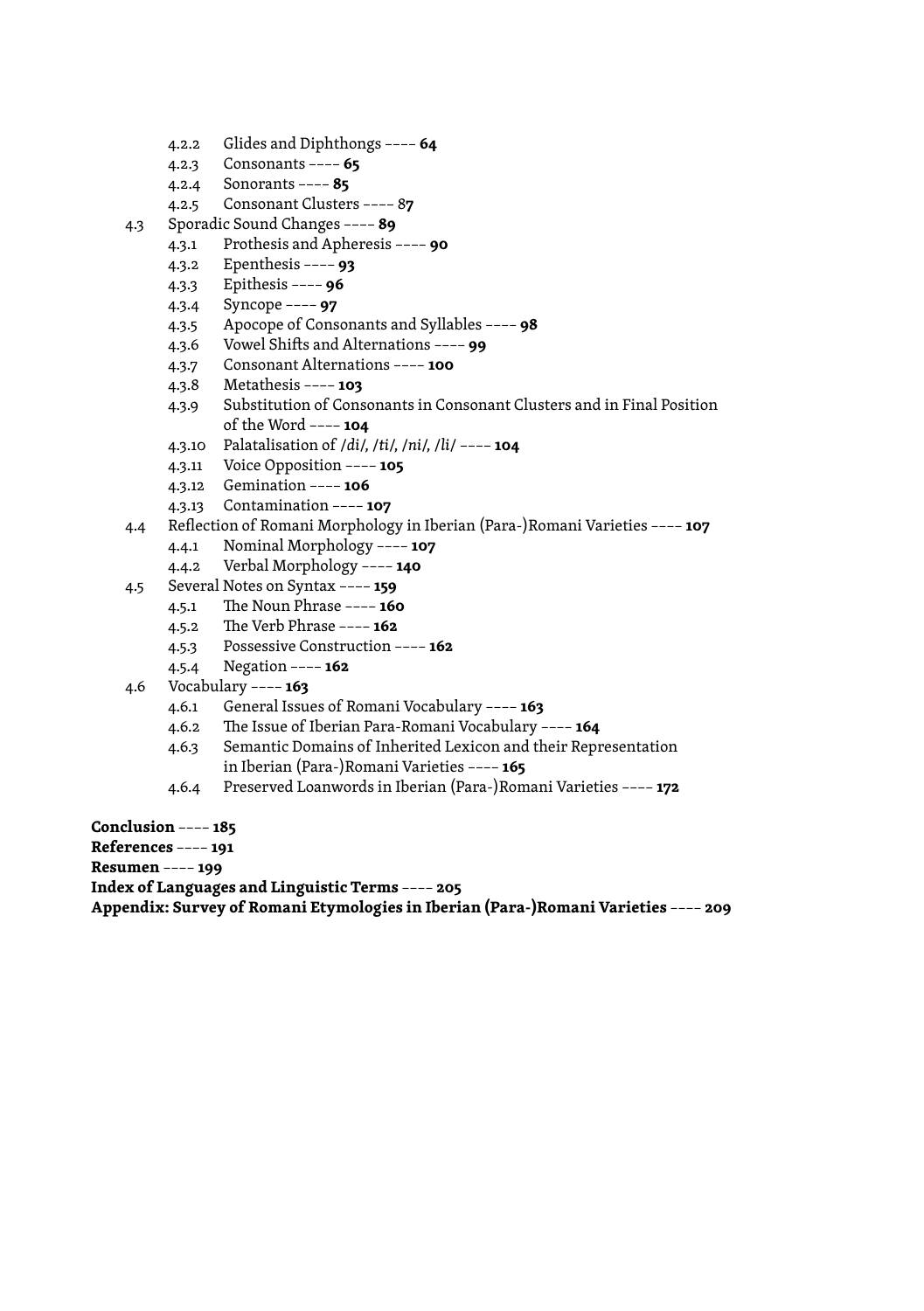- 4.2.2 [Glides and Diphthongs ––––](#page--1-0) **64**
- 4.2.3 [Consonants ––––](#page--1-0) **65**
- 4.2.4 [Sonorants ––––](#page--1-0) **85**
- 4.2.5 [Consonant Clusters –––– 8](#page--1-0)**7**
- 4.3 [Sporadic Sound Changes ––––](#page--1-0) **89**
	- 4.3.1 [Prothesis and Apheresis ––––](#page--1-0) **90**
	- 4.3.2 [Epenthesis ––––](#page--1-0) **93**
	- 4.3.3 [Epithesis ––––](#page--1-0) **96**
	- 4.3.4 [Syncope ––––](#page--1-0) **97**
	- 4.3.5 [Apocope of Consonants and Syllables ––––](#page--1-0) **98**
	- 4.3.6 [Vowel Shifts and Alternations ––––](#page--1-0) **99**
	- 4.3.7 [Consonant Alternations ––––](#page--1-0) **100**
	- 4.3.8 [Metathesis ––––](#page--1-0) **103**
	- 4.3.9 [Substitution of Consonants in Consonant Clusters and in Final Position](#page--1-0)   [of the Word ––––](#page--1-0) **104**
	- 4.3.10 [Palatalisation of /](#page--1-0)*di*/, /*ti*/, /*ni*/, /*li*/ –––– **104**
	- 4.3.11 [Voice Opposition ––––](#page--1-0) **105**
	- 4.3.12 [Gemination ––––](#page--1-0) **106**
	- 4.3.13 [Contamination ––––](#page--1-0) **107**
- 4.4 [Reflection of Romani Morphology in Iberian \(Para-\)Romani Varieties ––––](#page--1-0) **107**
	- 4.4.1 [Nominal Morphology ––––](#page--1-0) **107**
	- 4.4.2 [Verbal Morphology ––––](#page--1-0) **140**
- 4.5 [Several Notes on Syntax ––––](#page--1-0) **159**
	- 4.5.1 [The Noun Phrase ––––](#page--1-0) **160**
	- 4.5.2 [The Verb Phrase ––––](#page--1-0) **162**
	- 4.5.3 [Possessive Construction ––––](#page--1-0) **162**
	- 4.5.4 [Negation ––––](#page--1-0) **162**
- 4.6 [Vocabulary ––––](#page--1-0) **163**
	- 4.6.1 [General Issues of Romani Vocabulary ––––](#page--1-0) **163**
	- 4.6.2 [The Issue of Iberian Para-Romani Vocabulary ––––](#page--1-0) **164**
	- 4.6.3 [Semantic Domains of Inherited Lexicon and their Representation](#page--1-0)   [in Iberian \(Para-\)Romani Varieties ––––](#page--1-0) **165**
	- 4.6.4 [Preserved Loanwords in Iberian \(Para-\)Romani Varieties ––––](#page--1-0) **172**

**[Conclusion](#page--1-0)** –––– **185**

**R[eferences](#page--1-0)** –––– **191**

**R[esumen](#page--1-0)** –––– **199**

**[Index of Languages and Linguistic Terms](#page--1-0)** –––– **205**

**[Appendix: Survey of Romani Etymologies in Iberian \(Para-\)Romani Varieties](#page--1-0)** –––– **209**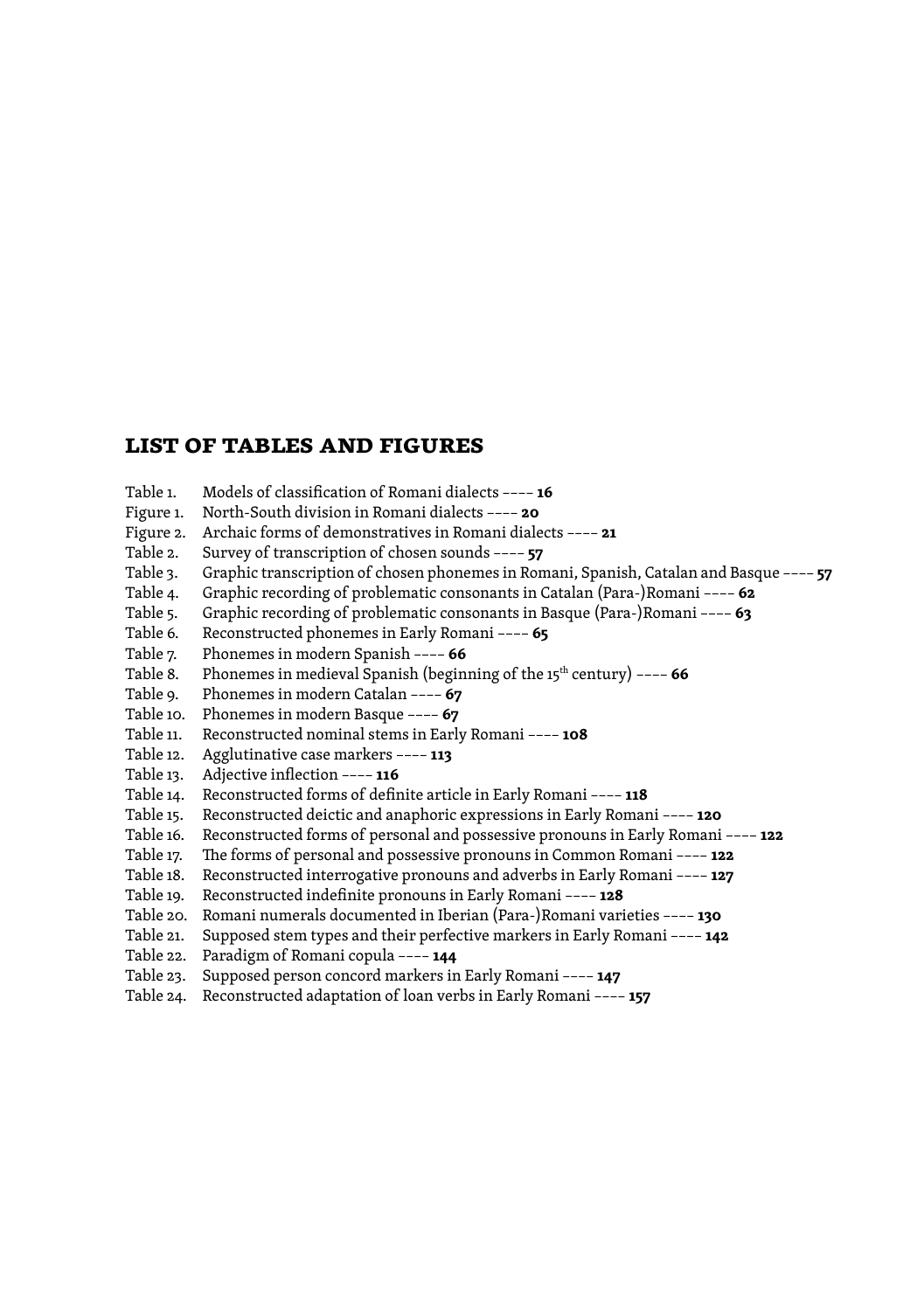# **list of tables and figures**

Table 1. Models of classification of Romani dialects –––– **16** Figure 1. North-South division in Romani dialects –––– **20** Figure 2. Archaic forms of demonstratives in Romani dialects –––– **21** Table 2. Survey of transcription of chosen sounds –––– **57** Table 3. Graphic transcription of chosen phonemes in Romani, Spanish, Catalan and Basque –––– **57**<br>Table 4. Graphic recording of problematic consonants in Catalan (Para-)Romani –––– 62 Graphic recording of problematic consonants in Catalan (Para-)Romani –––– **62** Table 5. Graphic recording of problematic consonants in Basque (Para-)Romani –––– **63** Reconstructed phonemes in Early Romani –––– 65 Table 7. Phonemes in modern Spanish –––– **66** Table 8. Phonemes in medieval Spanish (beginning of the 15<sup>th</sup> century) ---- **66** Table 9. Phonemes in modern Catalan –––– **67** Table 10. Phonemes in modern Basque –––– **67** Table 11. Reconstructed nominal stems in Early Romani –––– **108** Table 12. Agglutinative case markers –––– **113** Table 13. Adjective inflection –––– **116** Table 14. Reconstructed forms of definite article in Early Romani –––– **118** Table 15. Reconstructed deictic and anaphoric expressions in Early Romani –––– **120** Table 16. Reconstructed forms of personal and possessive pronouns in Early Romani –––– **122** Table 17. The forms of personal and possessive pronouns in Common Romani –––– **122** Table 18. Reconstructed interrogative pronouns and adverbs in Early Romani –––– **127** Table 19. Reconstructed indefinite pronouns in Early Romani –––– **128** Table 20. Romani numerals documented in Iberian (Para-)Romani varieties –––– **130** Table 21. Supposed stem types and their perfective markers in Early Romani –––– **142** Table 22. Paradigm of Romani copula –––– **144** Table 23. Supposed person concord markers in Early Romani –––– **147**

Table 24. Reconstructed adaptation of loan verbs in Early Romani –––– **157**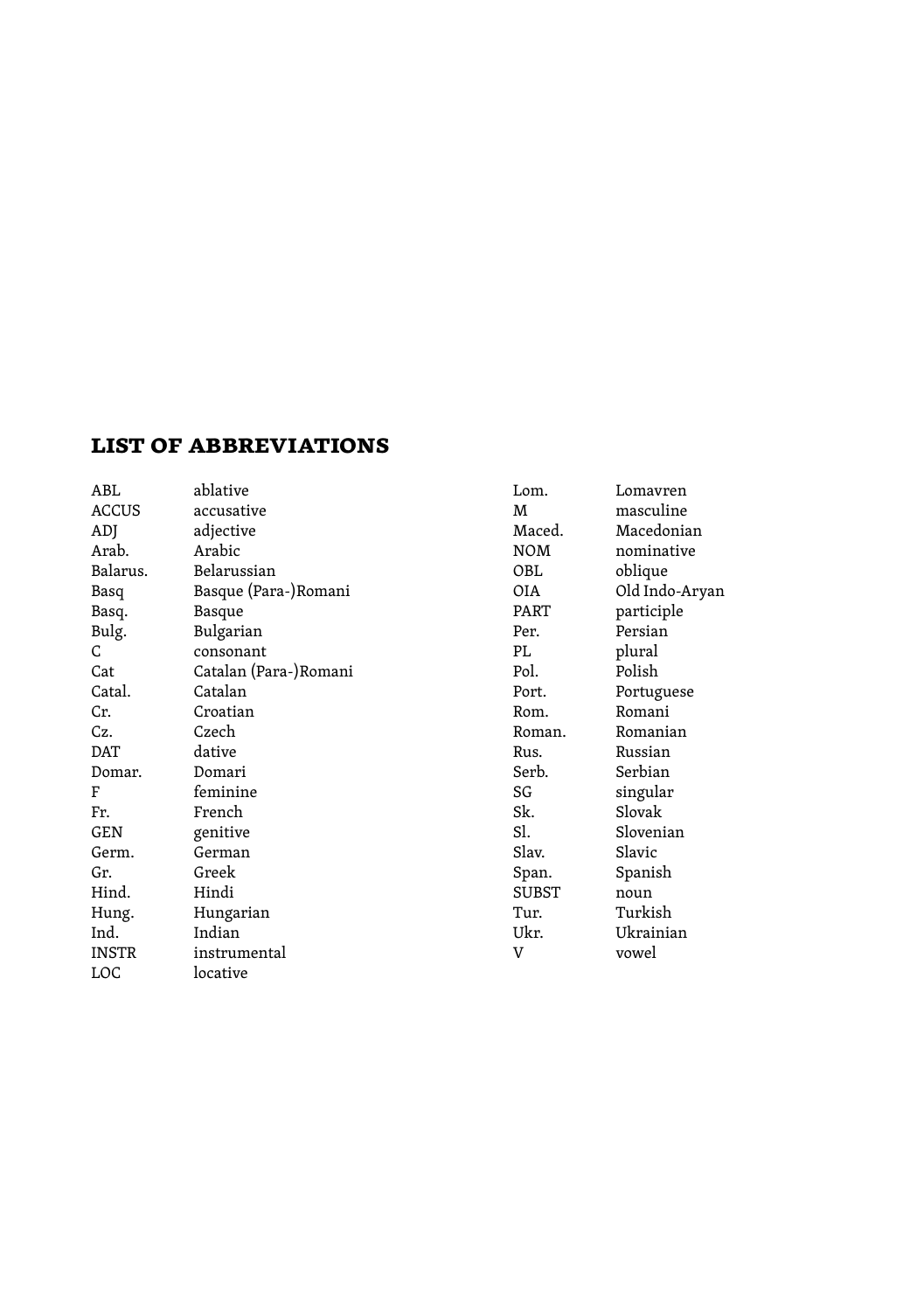# **list of abbreviations**

| ABL          | ablative              | Lom.         | Lomavren       |
|--------------|-----------------------|--------------|----------------|
| <b>ACCUS</b> | accusative            | M            | masculine      |
| ADJ          | adjective             | Maced.       | Macedonian     |
| Arab.        | Arabic                | <b>NOM</b>   | nominative     |
| Balarus.     | Belarussian           | OBL          | oblique        |
| Basq         | Basque (Para-)Romani  | OIA          | Old Indo-Aryan |
| Basq.        | Basque                | PART         | participle     |
| Bulg.        | Bulgarian             | Per.         | Persian        |
| C            | consonant             | PL           | plural         |
| Cat          | Catalan (Para-)Romani | Pol.         | Polish         |
| Catal.       | Catalan               | Port.        | Portuguese     |
| Cr.          | Croatian              | Rom.         | Romani         |
| Cz.          | Czech                 | Roman.       | Romanian       |
| DAT          | dative                | Rus.         | Russian        |
| Domar.       | Domari                | Serb.        | Serbian        |
| F            | feminine              | SG           | singular       |
| Fr.          | French                | Sk.          | Slovak         |
| GEN          | genitive              | Sl.          | Slovenian      |
| Germ.        | German                | Slav.        | Slavic         |
| Gr.          | Greek                 | Span.        | Spanish        |
| Hind.        | Hindi                 | <b>SUBST</b> | noun           |
| Hung.        | Hungarian             | Tur.         | Turkish        |
| Ind.         | Indian                | Ukr.         | Ukrainian      |
| <b>INSTR</b> | instrumental          | V            | vowel          |
| LOC          | locative              |              |                |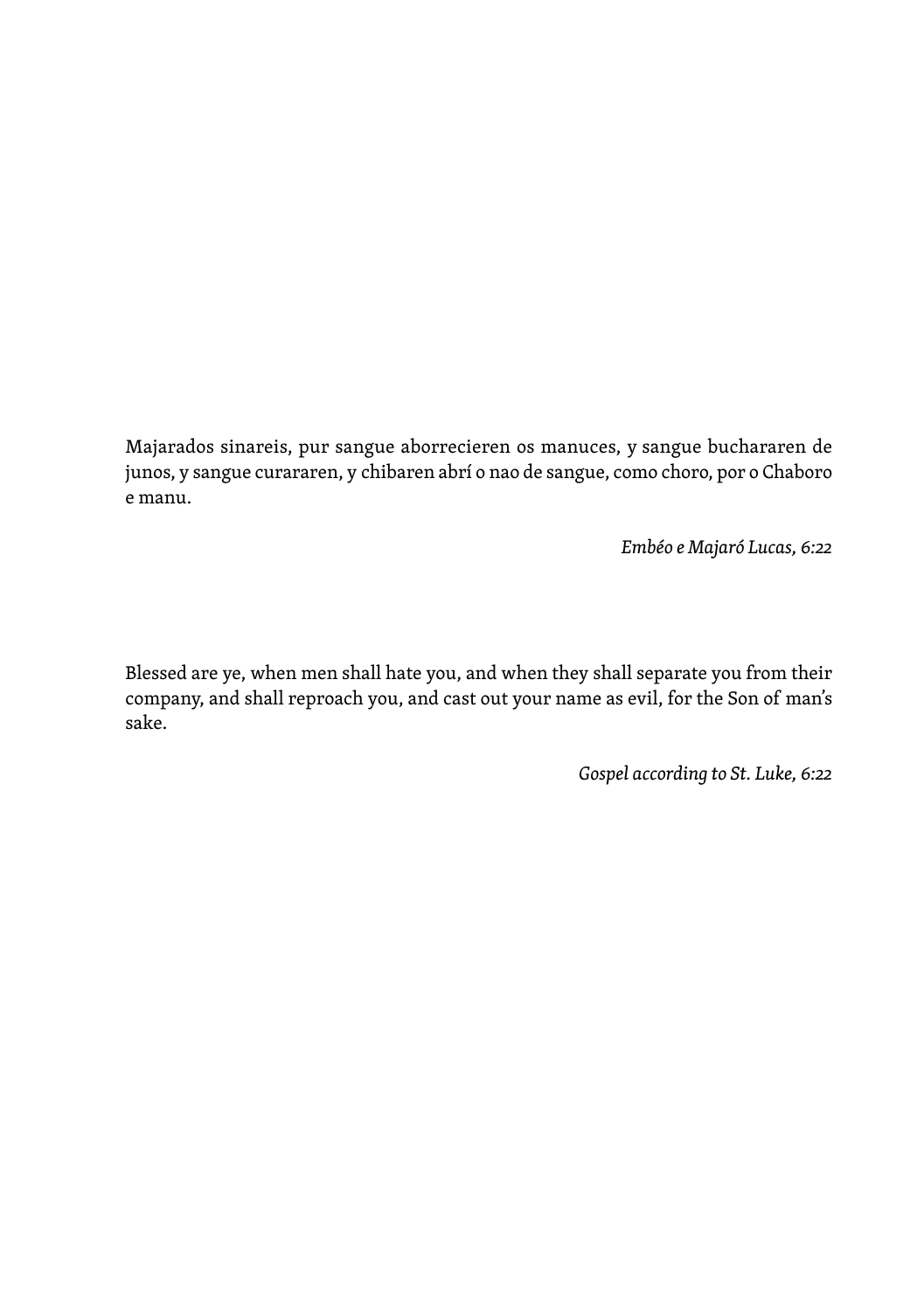Majarados sinareis, pur sangue aborrecieren os manuces, y sangue buchararen de junos, y sangue curararen, y chibaren abrí o nao de sangue, como choro, por o Chaboro e manu.

*Embéo e Majaró Lucas, 6:22*

Blessed are ye, when men shall hate you, and when they shall separate you from their company, and shall reproach you, and cast out your name as evil, for the Son of man's sake.

*Gospel according to St. Luke, 6:22*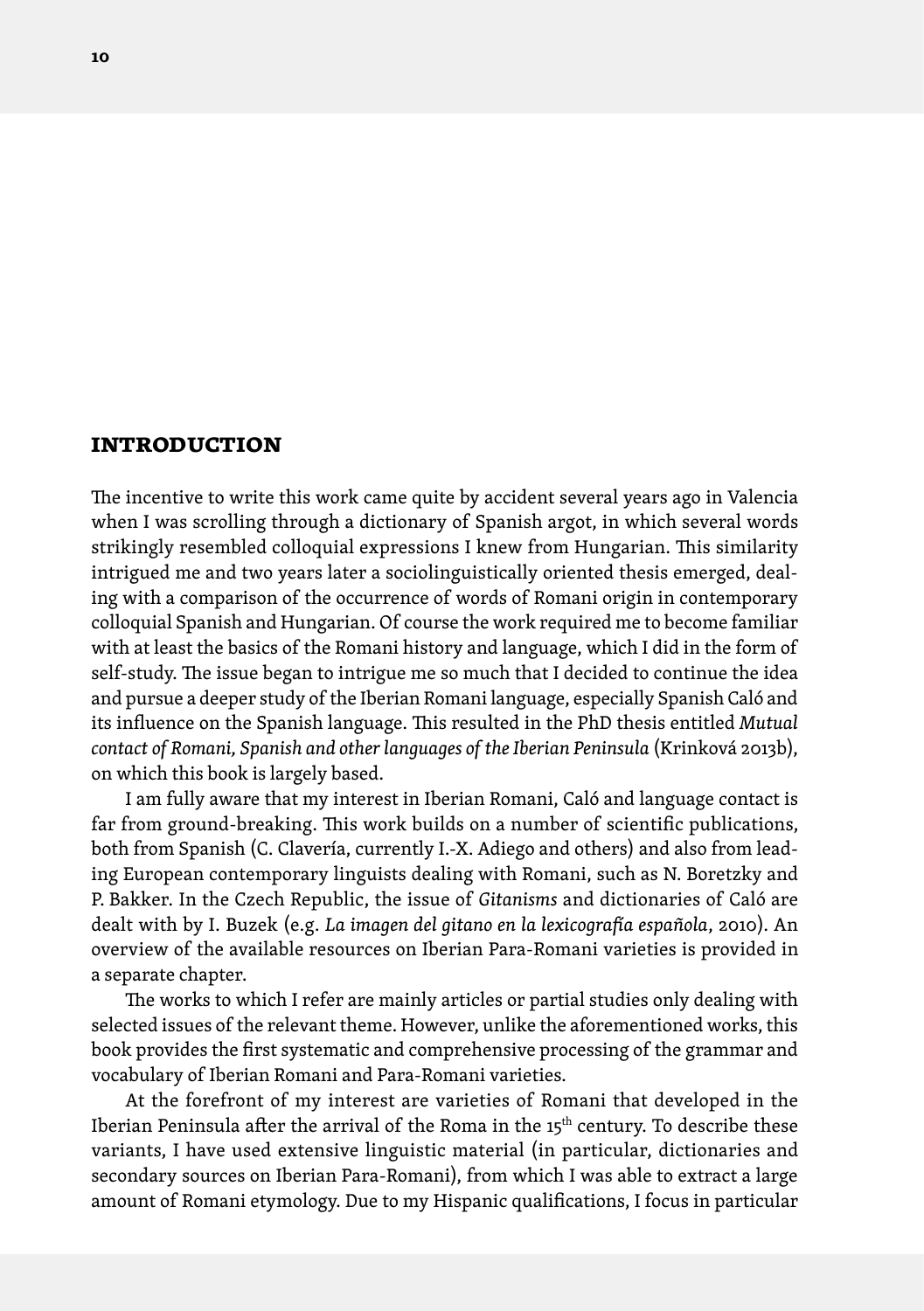## <span id="page-9-0"></span>**introduction**

The incentive to write this work came quite by accident several years ago in Valencia when I was scrolling through a dictionary of Spanish argot, in which several words strikingly resembled colloquial expressions I knew from Hungarian. This similarity intrigued me and two years later a sociolinguistically oriented thesis emerged, dealing with a comparison of the occurrence of words of Romani origin in contemporary colloquial Spanish and Hungarian. Of course the work required me to become familiar with at least the basics of the Romani history and language, which I did in the form of self-study. The issue began to intrigue me so much that I decided to continue the idea and pursue a deeper study of the Iberian Romani language, especially Spanish Caló and its influence on the Spanish language. This resulted in the PhD thesis entitled *Mutual contact of Romani, Spanish and other languages of the Iberian Peninsula* (Krinková 2013b), on which this book is largely based.

I am fully aware that my interest in Iberian Romani, Caló and language contact is far from ground-breaking. This work builds on a number of scientific publications, both from Spanish (C. Clavería, currently I.-X. Adiego and others) and also from leading European contemporary linguists dealing with Romani, such as N. Boretzky and P. Bakker. In the Czech Republic, the issue of *Gitanisms* and dictionaries of Caló are dealt with by I. Buzek (e.g. *La imagen del gitano en la lexicografía española*, 2010). An overview of the available resources on Iberian Para-Romani varieties is provided in a separate chapter.

The works to which I refer are mainly articles or partial studies only dealing with selected issues of the relevant theme. However, unlike the aforementioned works, this book provides the first systematic and comprehensive processing of the grammar and vocabulary of Iberian Romani and Para-Romani varieties.

At the forefront of my interest are varieties of Romani that developed in the Iberian Peninsula after the arrival of the Roma in the 15<sup>th</sup> century. To describe these variants, I have used extensive linguistic material (in particular, dictionaries and secondary sources on Iberian Para-Romani), from which I was able to extract a large amount of Romani etymology. Due to my Hispanic qualifications, I focus in particular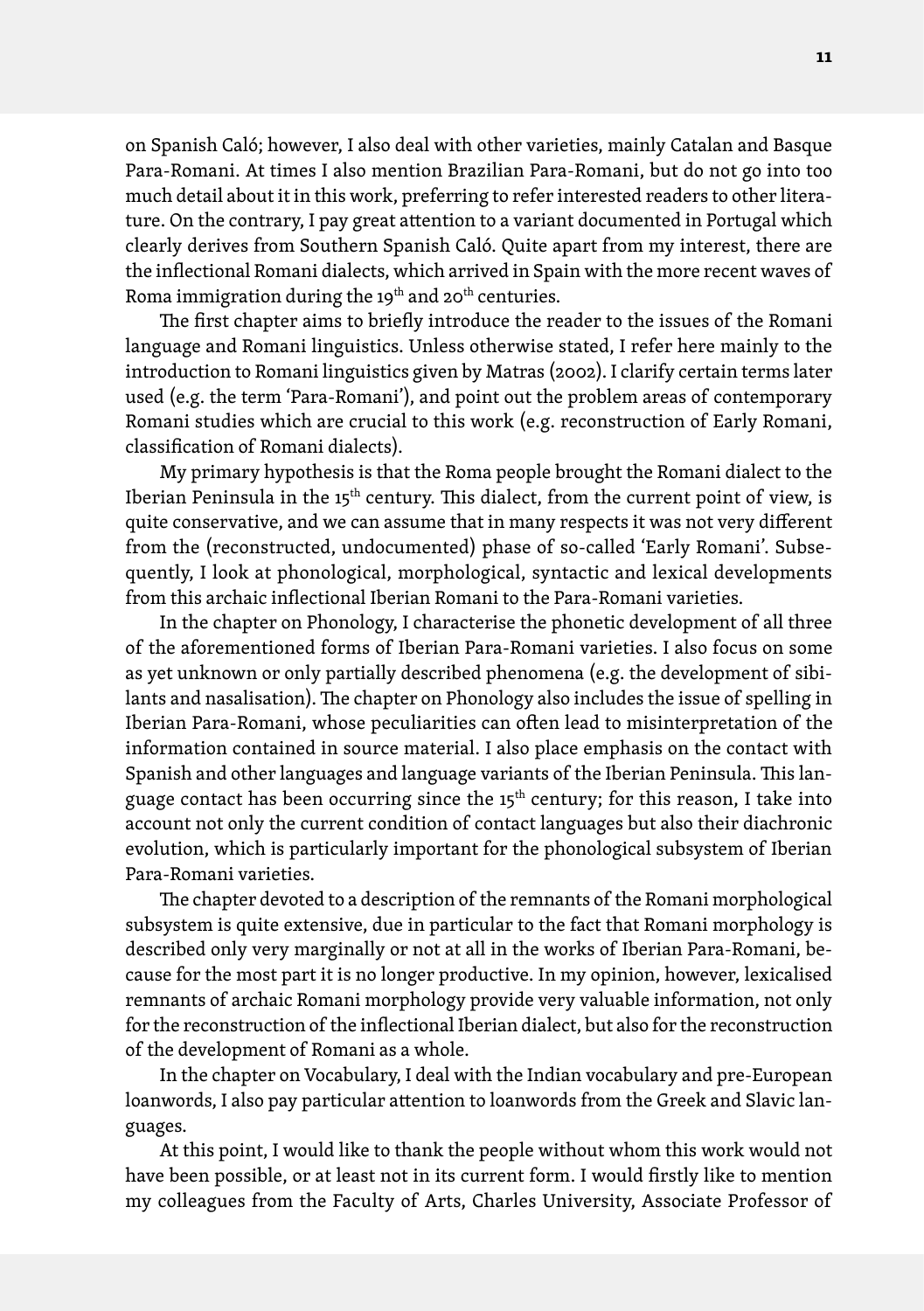on Spanish Caló; however, I also deal with other varieties, mainly Catalan and Basque Para-Romani. At times I also mention Brazilian Para-Romani, but do not go into too much detail about it in this work, preferring to refer interested readers to other literature. On the contrary, I pay great attention to a variant documented in Portugal which clearly derives from Southern Spanish Caló. Quite apart from my interest, there are the inflectional Romani dialects, which arrived in Spain with the more recent waves of Roma immigration during the 19<sup>th</sup> and 20<sup>th</sup> centuries.

The first chapter aims to briefly introduce the reader to the issues of the Romani language and Romani linguistics. Unless otherwise stated, I refer here mainly to the introduction to Romani linguistics given by Matras (2002). I clarify certain terms later used (e.g. the term 'Para-Romani'), and point out the problem areas of contemporary Romani studies which are crucial to this work (e.g. reconstruction of Early Romani, classification of Romani dialects).

My primary hypothesis is that the Roma people brought the Romani dialect to the Iberian Peninsula in the  $15<sup>th</sup>$  century. This dialect, from the current point of view, is quite conservative, and we can assume that in many respects it was not very different from the (reconstructed, undocumented) phase of so-called 'Early Romani'. Subsequently, I look at phonological, morphological, syntactic and lexical developments from this archaic inflectional Iberian Romani to the Para-Romani varieties.

In the chapter on Phonology, I characterise the phonetic development of all three of the aforementioned forms of Iberian Para-Romani varieties. I also focus on some as yet unknown or only partially described phenomena (e.g. the development of sibilants and nasalisation). The chapter on Phonology also includes the issue of spelling in Iberian Para-Romani, whose peculiarities can often lead to misinterpretation of the information contained in source material. I also place emphasis on the contact with Spanish and other languages and language variants of the Iberian Peninsula. This language contact has been occurring since the  $15<sup>th</sup>$  century; for this reason, I take into account not only the current condition of contact languages but also their diachronic evolution, which is particularly important for the phonological subsystem of Iberian Para-Romani varieties.

The chapter devoted to a description of the remnants of the Romani morphological subsystem is quite extensive, due in particular to the fact that Romani morphology is described only very marginally or not at all in the works of Iberian Para-Romani, because for the most part it is no longer productive. In my opinion, however, lexicalised remnants of archaic Romani morphology provide very valuable information, not only for the reconstruction of the inflectional Iberian dialect, but also for the reconstruction of the development of Romani as a whole.

In the chapter on Vocabulary, I deal with the Indian vocabulary and pre-European loanwords, I also pay particular attention to loanwords from the Greek and Slavic languages.

At this point, I would like to thank the people without whom this work would not have been possible, or at least not in its current form. I would firstly like to mention my colleagues from the Faculty of Arts, Charles University, Associate Professor of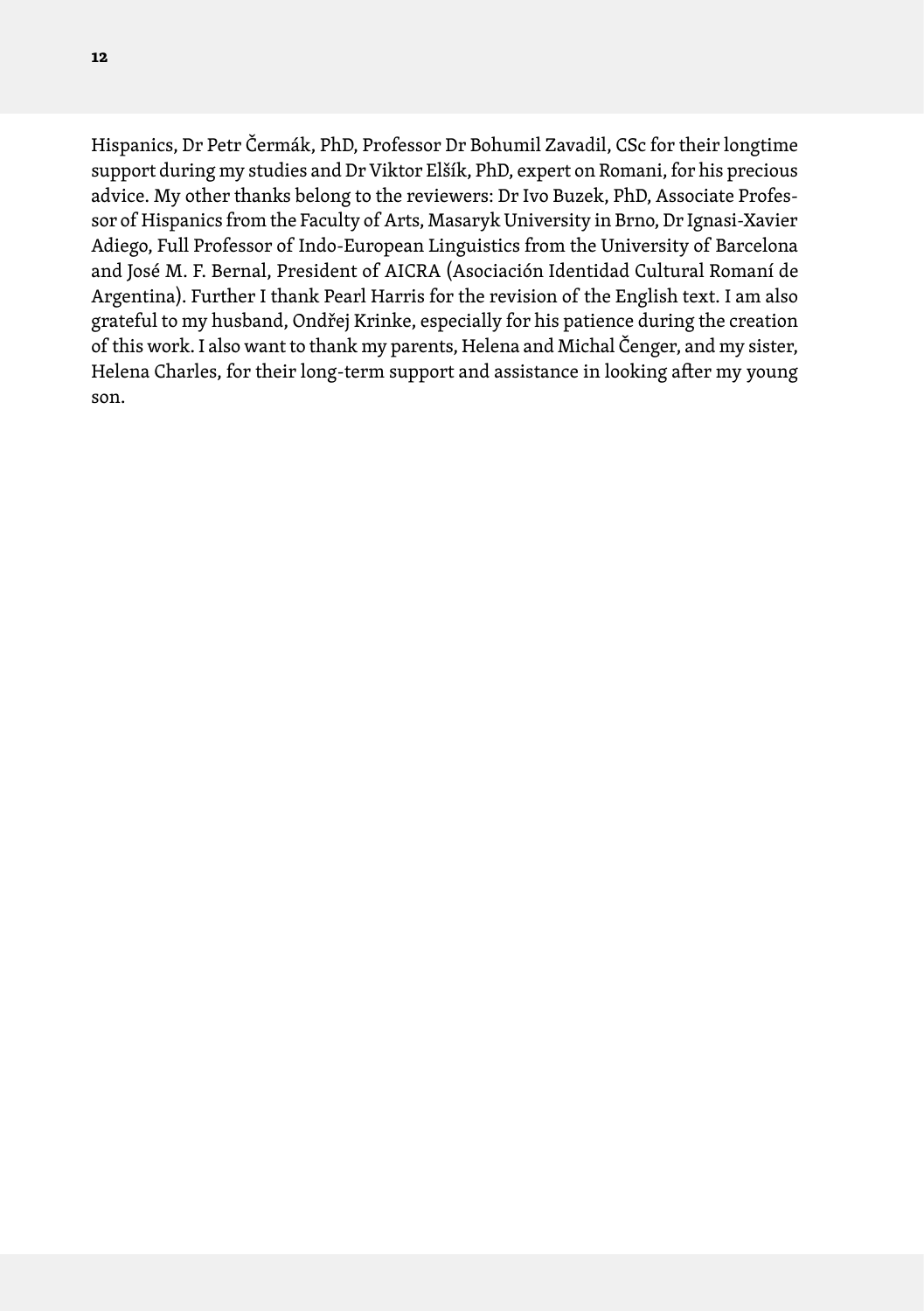Hispanics, Dr Petr Čermák, PhD, Professor Dr Bohumil Zavadil, CSc for their longtime support during my studies and Dr Viktor Elšík, PhD, expert on Romani, for his precious advice. My other thanks belong to the reviewers: Dr Ivo Buzek, PhD, Associate Professor of Hispanics from the Faculty of Arts, Masaryk University in Brno, Dr Ignasi-Xavier Adiego, Full Professor of Indo-European Linguistics from the University of Barcelona and José M. F. Bernal, President of AICRA (Asociación Identidad Cultural Romaní de Argentina). Further I thank Pearl Harris for the revision of the English text. I am also grateful to my husband, Ondřej Krinke, especially for his patience during the creation of this work. I also want to thank my parents, Helena and Michal Čenger, and my sister, Helena Charles, for their long-term support and assistance in looking after my young son.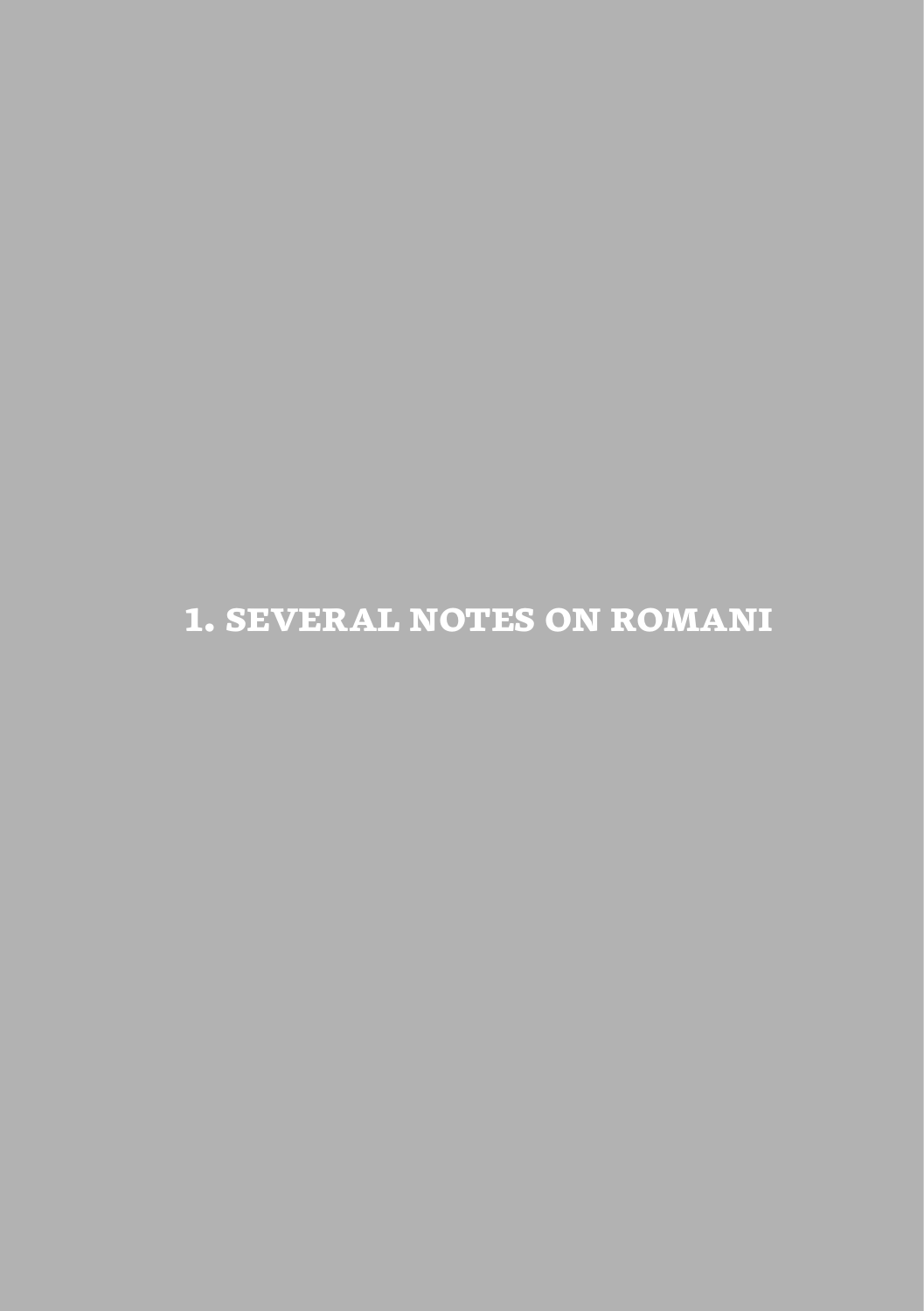<span id="page-12-0"></span>**1. several notes on romani**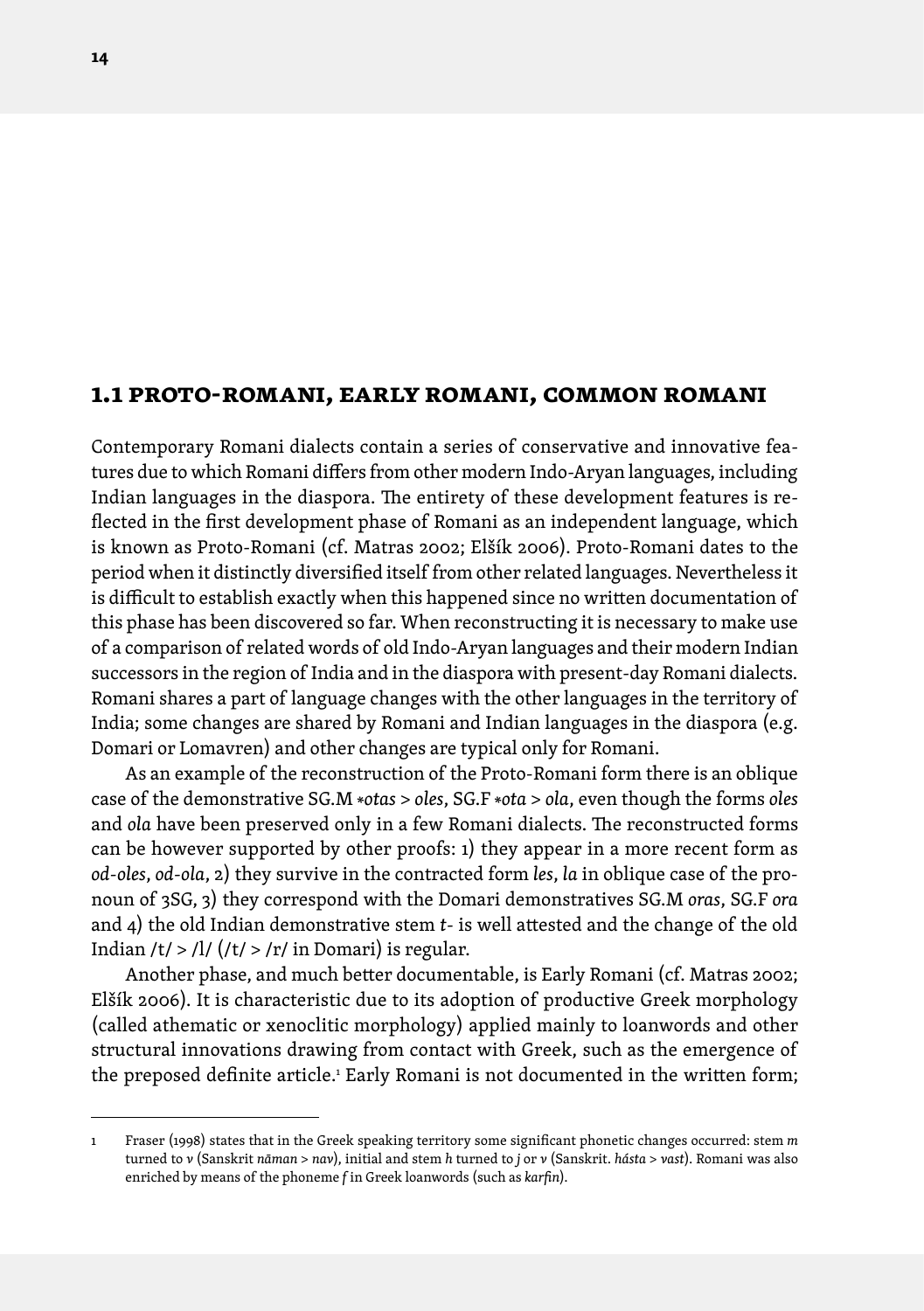# <span id="page-13-0"></span>**1.1 proto-romani, early romani, common romani**

Contemporary Romani dialects contain a series of conservative and innovative features due to which Romani differs from other modern Indo-Aryan languages, including Indian languages in the diaspora. The entirety of these development features is reflected in the first development phase of Romani as an independent language, which is known as Proto-Romani (cf. Matras 2002; Elšík 2006). Proto-Romani dates to the period when it distinctly diversified itself from other related languages. Nevertheless it is difficult to establish exactly when this happened since no written documentation of this phase has been discovered so far. When reconstructing it is necessary to make use of a comparison of related words of old Indo-Aryan languages and their modern Indian successors in the region of India and in the diaspora with present-day Romani dialects. Romani shares a part of language changes with the other languages in the territory of India; some changes are shared by Romani and Indian languages in the diaspora (e.g. Domari or Lomavren) and other changes are typical only for Romani.

As an example of the reconstruction of the Proto-Romani form there is an oblique case of the demonstrative SG.M \**otas* > *oles*, SG.F \**ota* > *ola*, even though the forms *oles* and *ola* have been preserved only in a few Romani dialects. The reconstructed forms can be however supported by other proofs: 1) they appear in a more recent form as *od-oles*, *od-ola*, 2) they survive in the contracted form *les*, *la* in oblique case of the pronoun of 3SG, 3) they correspond with the Domari demonstratives SG.M *oras*, SG.F *ora* and 4) the old Indian demonstrative stem *t*- is well attested and the change of the old Indian /t/ > /l/ (/t/ > /r/ in Domari) is regular.

Another phase, and much better documentable, is Early Romani (cf. Matras 2002; Elšík 2006). It is characteristic due to its adoption of productive Greek morphology (called athematic or xenoclitic morphology) applied mainly to loanwords and other structural innovations drawing from contact with Greek, such as the emergence of the preposed definite article.<sup>1</sup> Early Romani is not documented in the written form;

<sup>1</sup> Fraser (1998) states that in the Greek speaking territory some significant phonetic changes occurred: stem *m*  turned to *v* (Sanskrit *nāman* > *nav*), initial and stem *h* turned to *j* or *v* (Sanskrit. *hásta* > *vast*). Romani was also enriched by means of the phoneme *f* in Greek loanwords (such as *karfin*).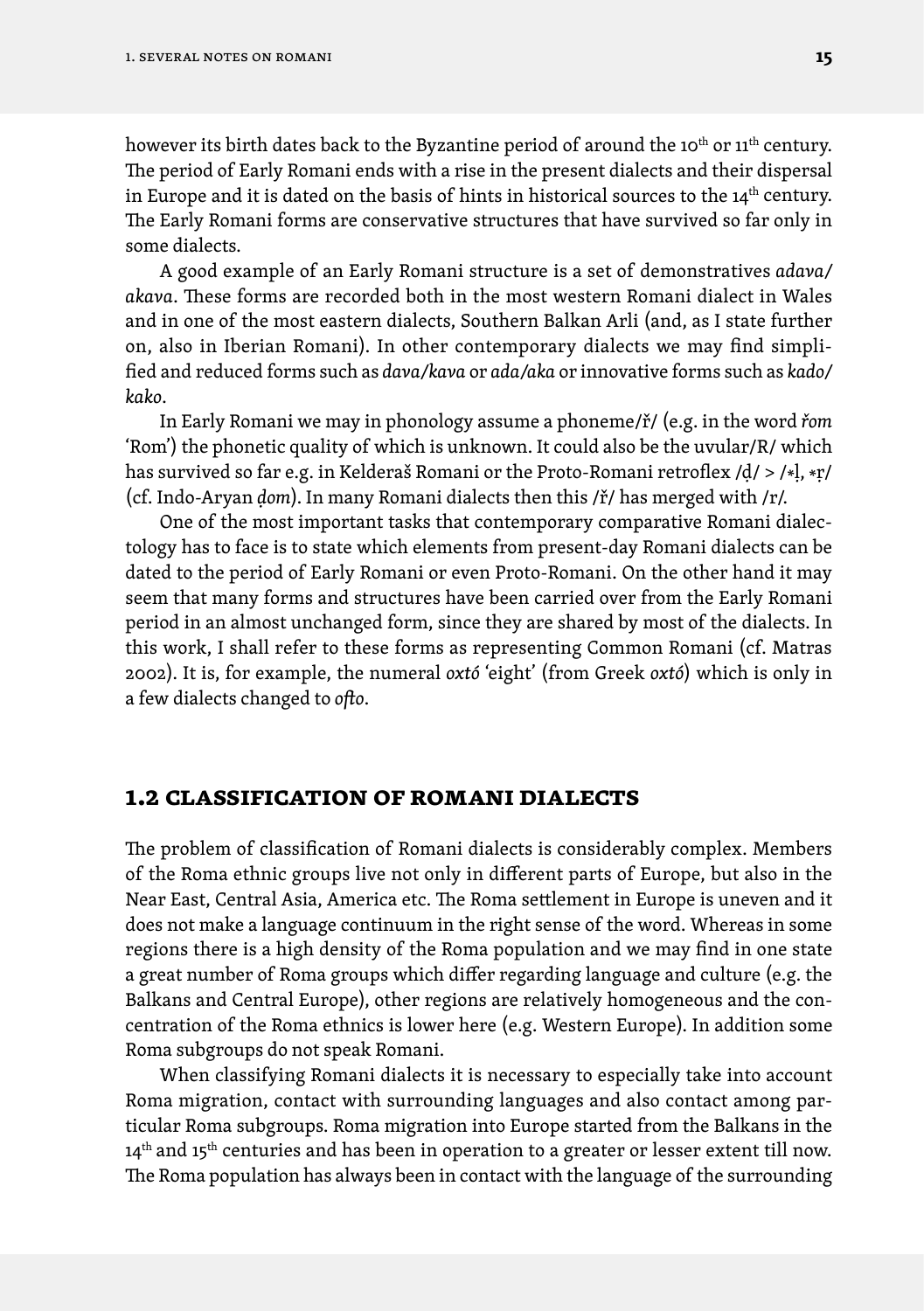<span id="page-14-0"></span>however its birth dates back to the Byzantine period of around the 10<sup>th</sup> or 11<sup>th</sup> century. The period of Early Romani ends with a rise in the present dialects and their dispersal in Europe and it is dated on the basis of hints in historical sources to the  $14<sup>th</sup>$  century. The Early Romani forms are conservative structures that have survived so far only in some dialects.

A good example of an Early Romani structure is a set of demonstratives *adava/ akava*. These forms are recorded both in the most western Romani dialect in Wales and in one of the most eastern dialects, Southern Balkan Arli (and, as I state further on, also in Iberian Romani). In other contemporary dialects we may find simplified and reduced forms such as *dava/kava* or *ada/aka* or innovative forms such as *kado/ kako*.

In Early Romani we may in phonology assume a phoneme/ř/ (e.g. in the word *řom* 'Rom') the phonetic quality of which is unknown. It could also be the uvular/R/ which has survived so far e.g. in Kelderaš Romani or the Proto-Romani retroflex /ḍ/ > /\*ḷ, \*ṛ/ (cf. Indo-Aryan *ḍom*). In many Romani dialects then this /ř/ has merged with /r/.

One of the most important tasks that contemporary comparative Romani dialectology has to face is to state which elements from present-day Romani dialects can be dated to the period of Early Romani or even Proto-Romani. On the other hand it may seem that many forms and structures have been carried over from the Early Romani period in an almost unchanged form, since they are shared by most of the dialects. In this work, I shall refer to these forms as representing Common Romani (cf. Matras 2002). It is, for example, the numeral *oxtó* 'eight' (from Greek *oxtó*) which is only in a few dialects changed to *ofto*.

### **1.2 classification of romani dialects**

The problem of classification of Romani dialects is considerably complex. Members of the Roma ethnic groups live not only in different parts of Europe, but also in the Near East, Central Asia, America etc. The Roma settlement in Europe is uneven and it does not make a language continuum in the right sense of the word. Whereas in some regions there is a high density of the Roma population and we may find in one state a great number of Roma groups which differ regarding language and culture (e.g. the Balkans and Central Europe), other regions are relatively homogeneous and the concentration of the Roma ethnics is lower here (e.g. Western Europe). In addition some Roma subgroups do not speak Romani.

When classifying Romani dialects it is necessary to especially take into account Roma migration, contact with surrounding languages and also contact among particular Roma subgroups. Roma migration into Europe started from the Balkans in the 14<sup>th</sup> and 15<sup>th</sup> centuries and has been in operation to a greater or lesser extent till now. The Roma population has always been in contact with the language of the surrounding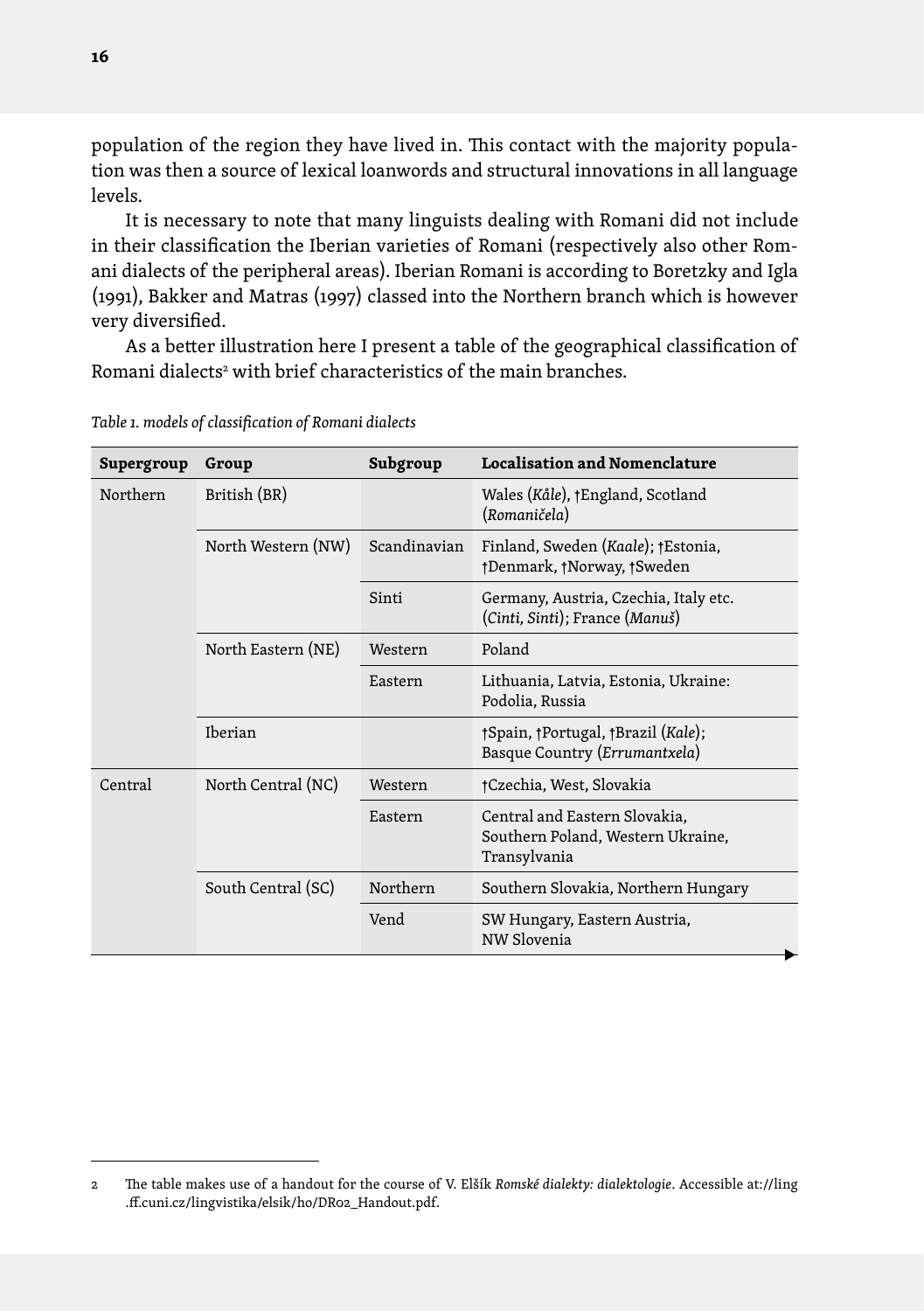population of the region they have lived in. This contact with the majority population was then a source of lexical loanwords and structural innovations in all language levels.

It is necessary to note that many linguists dealing with Romani did not include in their classification the Iberian varieties of Romani (respectively also other Romani dialects of the peripheral areas). Iberian Romani is according to Boretzky and Igla (1991), Bakker and Matras (1997) classed into the Northern branch which is however very diversified.

As a better illustration here I present a table of the geographical classification of Romani dialects<sup>2</sup> with brief characteristics of the main branches.

| Supergroup | Group              | Subgroup     | <b>Localisation and Nomenclature</b>                                               |  |
|------------|--------------------|--------------|------------------------------------------------------------------------------------|--|
| Northern   | British (BR)       |              | Wales (Kåle), †England, Scotland<br>(Romaničela)                                   |  |
|            | North Western (NW) | Scandinavian | Finland, Sweden (Kaale); †Estonia,<br>†Denmark, †Norway, †Sweden                   |  |
|            |                    | Sinti        | Germany, Austria, Czechia, Italy etc.<br>(Cinti, Sinti); France (Manuš)            |  |
|            | North Eastern (NE) | Western      | Poland                                                                             |  |
|            |                    | Eastern      | Lithuania, Latvia, Estonia, Ukraine:<br>Podolia, Russia                            |  |
|            | Iberian            |              | †Spain, †Portugal, †Brazil (Kale);<br>Basque Country (Errumantxela)                |  |
| Central    | North Central (NC) | Western      | †Czechia, West, Slovakia                                                           |  |
|            |                    | Eastern      | Central and Eastern Slovakia,<br>Southern Poland, Western Ukraine,<br>Transylvania |  |
|            | South Central (SC) | Northern     | Southern Slovakia, Northern Hungary                                                |  |
|            |                    | Vend         | SW Hungary, Eastern Austria,<br>NW Slovenia                                        |  |

*Table 1. models of classification of Romani dialects*

<sup>2</sup> The table makes use of a handout for the course of V. Elšík *Romské dialekty: dialektologie*. Accessible at://ling .ff.cuni.cz/lingvistika/elsik/ho/DR02\_Handout.pdf.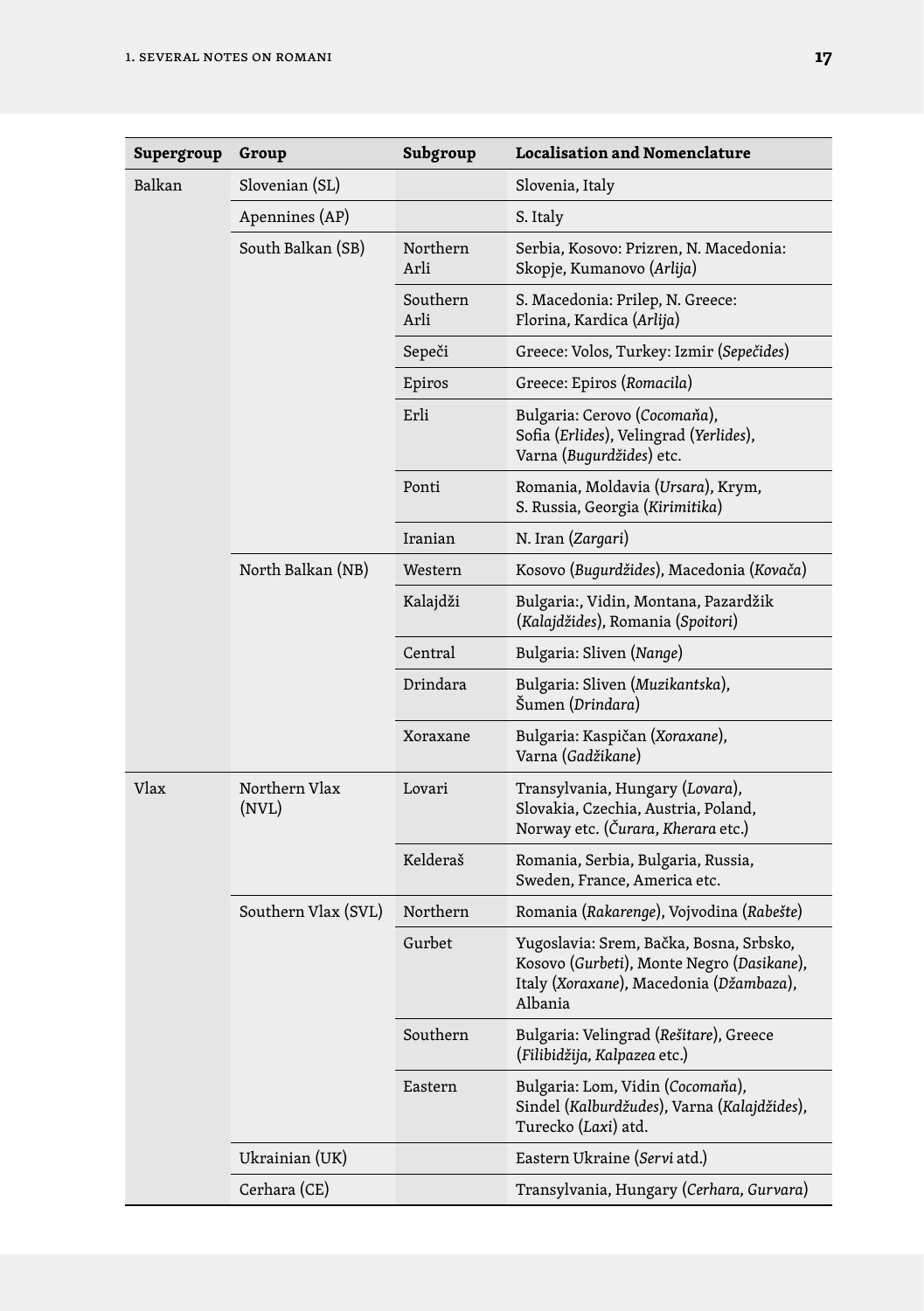| Supergroup | Group                  | Subgroup         | <b>Localisation and Nomenclature</b>                                                                                                       |  |
|------------|------------------------|------------------|--------------------------------------------------------------------------------------------------------------------------------------------|--|
| Balkan     | Slovenian (SL)         |                  | Slovenia, Italy                                                                                                                            |  |
|            | Apennines (AP)         |                  | S. Italy                                                                                                                                   |  |
|            | South Balkan (SB)      | Northern<br>Arli | Serbia, Kosovo: Prizren, N. Macedonia:<br>Skopje, Kumanovo (Arlija)                                                                        |  |
|            |                        | Southern<br>Arli | S. Macedonia: Prilep, N. Greece:<br>Florina, Kardica (Arlija)                                                                              |  |
|            |                        | Sepeči           | Greece: Volos, Turkey: Izmir (Sepečides)                                                                                                   |  |
|            |                        | Epiros           | Greece: Epiros (Romacila)                                                                                                                  |  |
|            |                        | Erli             | Bulgaria: Cerovo (Cocomaňa),<br>Sofia (Erlides), Velingrad (Yerlides),<br>Varna (Bugurdžides) etc.                                         |  |
|            |                        | Ponti            | Romania, Moldavia (Ursara), Krym,<br>S. Russia, Georgia (Kirimitika)                                                                       |  |
|            |                        | Iranian          | N. Iran (Zargari)                                                                                                                          |  |
|            | North Balkan (NB)      | Western          | Kosovo (Bugurdžides), Macedonia (Kovača)                                                                                                   |  |
|            |                        | Kalajdži         | Bulgaria:, Vidin, Montana, Pazardžik<br>(Kalajdžides), Romania (Spoitori)                                                                  |  |
|            |                        | Central          | Bulgaria: Sliven (Nange)                                                                                                                   |  |
|            |                        | Drindara         | Bulgaria: Sliven (Muzikantska),<br>Šumen (Drindara)                                                                                        |  |
|            |                        | Xoraxane         | Bulgaria: Kaspičan (Xoraxane),<br>Varna (Gadžikane)                                                                                        |  |
| Vlax       | Northern Vlax<br>(NVL) | Lovari           | Transylvania, Hungary (Lovara),<br>Slovakia, Czechia, Austria, Poland,<br>Norway etc. (Čurara, Kherara etc.)                               |  |
|            |                        | Kelderaš         | Romania, Serbia, Bulgaria, Russia,<br>Sweden, France, America etc.                                                                         |  |
|            | Southern Vlax (SVL)    | Northern         | Romania (Rakarenge), Vojvodina (Rabešte)                                                                                                   |  |
|            |                        | Gurbet           | Yugoslavia: Srem, Bačka, Bosna, Srbsko,<br>Kosovo (Gurbeti), Monte Negro (Dasikane),<br>Italy (Xoraxane), Macedonia (Džambaza),<br>Albania |  |
|            |                        | Southern         | Bulgaria: Velingrad (Rešitare), Greece<br>(Filibidžija, Kalpazea etc.)                                                                     |  |
|            |                        | Eastern          | Bulgaria: Lom, Vidin (Cocomaňa),<br>Sindel (Kalburdžudes), Varna (Kalajdžides),<br>Turecko (Laxi) atd.                                     |  |
|            | Ukrainian (UK)         |                  | Eastern Ukraine (Servi atd.)                                                                                                               |  |
|            | Cerhara (CE)           |                  | Transylvania, Hungary (Cerhara, Gurvara)                                                                                                   |  |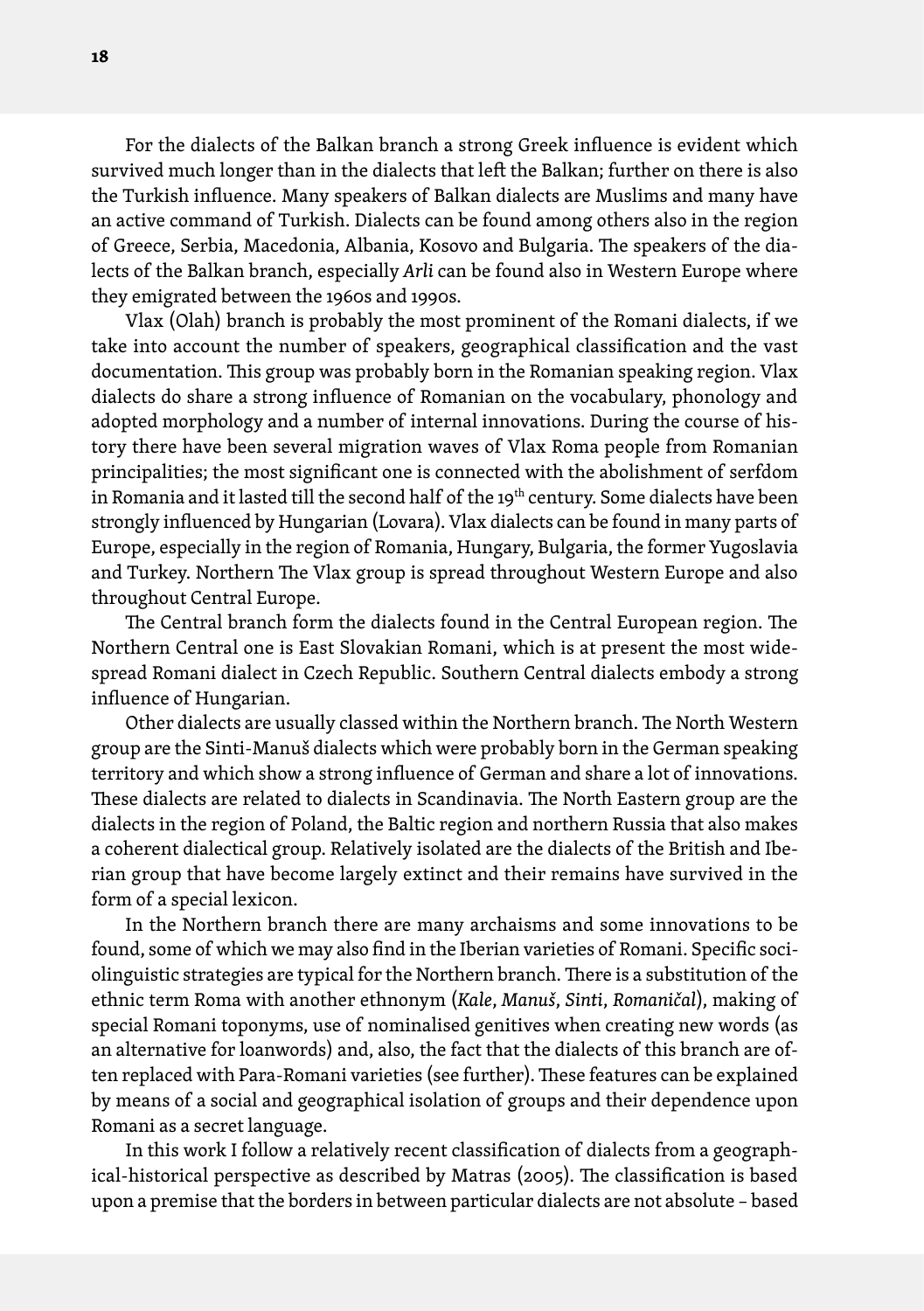For the dialects of the Balkan branch a strong Greek influence is evident which survived much longer than in the dialects that left the Balkan; further on there is also the Turkish influence. Many speakers of Balkan dialects are Muslims and many have an active command of Turkish. Dialects can be found among others also in the region of Greece, Serbia, Macedonia, Albania, Kosovo and Bulgaria. The speakers of the dialects of the Balkan branch, especially *Arli* can be found also in Western Europe where they emigrated between the 1960s and 1990s.

Vlax (Olah) branch is probably the most prominent of the Romani dialects, if we take into account the number of speakers, geographical classification and the vast documentation. This group was probably born in the Romanian speaking region. Vlax dialects do share a strong influence of Romanian on the vocabulary, phonology and adopted morphology and a number of internal innovations. During the course of history there have been several migration waves of Vlax Roma people from Romanian principalities; the most significant one is connected with the abolishment of serfdom in Romania and it lasted till the second half of the 19<sup>th</sup> century. Some dialects have been strongly influenced by Hungarian (Lovara). Vlax dialects can be found in many parts of Europe, especially in the region of Romania, Hungary, Bulgaria, the former Yugoslavia and Turkey. Northern The Vlax group is spread throughout Western Europe and also throughout Central Europe.

The Central branch form the dialects found in the Central European region. The Northern Central one is East Slovakian Romani, which is at present the most widespread Romani dialect in Czech Republic. Southern Central dialects embody a strong influence of Hungarian.

Other dialects are usually classed within the Northern branch. The North Western group are the Sinti-Manuš dialects which were probably born in the German speaking territory and which show a strong influence of German and share a lot of innovations. These dialects are related to dialects in Scandinavia. The North Eastern group are the dialects in the region of Poland, the Baltic region and northern Russia that also makes a coherent dialectical group. Relatively isolated are the dialects of the British and Iberian group that have become largely extinct and their remains have survived in the form of a special lexicon.

In the Northern branch there are many archaisms and some innovations to be found, some of which we may also find in the Iberian varieties of Romani. Specific sociolinguistic strategies are typical for the Northern branch. There is a substitution of the ethnic term Roma with another ethnonym (*Kale*, *Manuš*, *Sinti*, *Romaničal*), making of special Romani toponyms, use of nominalised genitives when creating new words (as an alternative for loanwords) and, also, the fact that the dialects of this branch are often replaced with Para-Romani varieties (see further). These features can be explained by means of a social and geographical isolation of groups and their dependence upon Romani as a secret language.

In this work I follow a relatively recent classification of dialects from a geographical-historical perspective as described by Matras (2005). The classification is based upon a premise that the borders in between particular dialects are not absolute – based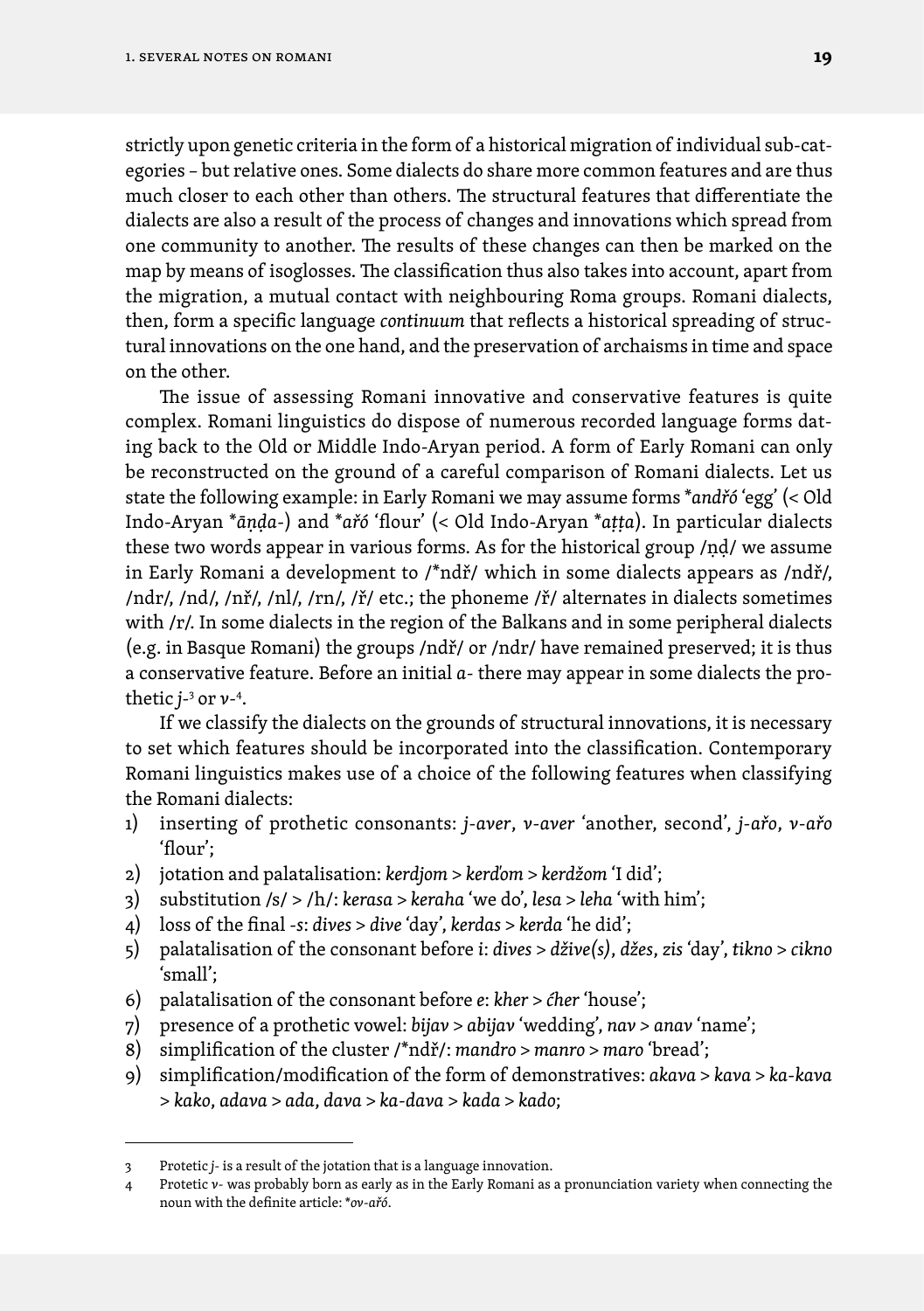strictly upon genetic criteria in the form of a historical migration of individual sub-categories – but relative ones. Some dialects do share more common features and are thus much closer to each other than others. The structural features that differentiate the dialects are also a result of the process of changes and innovations which spread from one community to another. The results of these changes can then be marked on the map by means of isoglosses. The classification thus also takes into account, apart from the migration, a mutual contact with neighbouring Roma groups. Romani dialects, then, form a specific language *continuum* that reflects a historical spreading of structural innovations on the one hand, and the preservation of archaisms in time and space on the other.

The issue of assessing Romani innovative and conservative features is quite complex. Romani linguistics do dispose of numerous recorded language forms dating back to the Old or Middle Indo-Aryan period. A form of Early Romani can only be reconstructed on the ground of a careful comparison of Romani dialects. Let us state the following example: in Early Romani we may assume forms \**andřó* 'egg' (< Old Indo-Aryan \**āṇḍa-*) and \**ařó* 'flour' (< Old Indo-Aryan \**aṭṭa*). In particular dialects these two words appear in various forms. As for the historical group /ṇḍ/ we assume in Early Romani a development to /\*ndř/ which in some dialects appears as /ndř/, /ndr/, /nd/, /nř/, /nl/, /rn/, /ř/ etc.; the phoneme /ř/ alternates in dialects sometimes with /r/. In some dialects in the region of the Balkans and in some peripheral dialects (e.g. in Basque Romani) the groups /ndř/ or /ndr/ have remained preserved; it is thus a conservative feature. Before an initial *a*- there may appear in some dialects the prothetic *j-*<sup>3</sup> or *v*-4 .

If we classify the dialects on the grounds of structural innovations, it is necessary to set which features should be incorporated into the classification. Contemporary Romani linguistics makes use of a choice of the following features when classifying the Romani dialects:

- 1) inserting of prothetic consonants: *j-aver*, *v-aver* 'another, second', *j-ařo*, *v-ařo*  'flour';
- 2) jotation and palatalisation: *kerdjom* > *kerďom* > *kerdžom* 'I did';
- 3) substitution /s/ > /h/: *kerasa* > *keraha* 'we do', *lesa* > *leha* 'with him';
- 4) loss of the final -*s*: *dives* > *dive* 'day', *kerdas* > *kerda* 'he did';
- 5) palatalisation of the consonant before *i*: *dives* > *džive(s)*, *džes*, *zis* 'day', *tikno* > *cikno* 'small';
- 6) palatalisation of the consonant before *e*: *kher* > *ćher* 'house';
- 7) presence of a prothetic vowel: *bijav* > *abijav* 'wedding', *nav > anav* 'name';
- 8) simplification of the cluster /\*ndř/: *mandro* > *manro* > *maro* 'bread';
- 9) simplification/modification of the form of demonstratives: *akava* > *kava* > *ka-kava*  > *kako*, *adava* > *ada*, *dava* > *ka-dava* > *kada* > *kado*;

<sup>3</sup> Protetic *j-* is a result of the jotation that is a language innovation.

<sup>4</sup> Protetic *v-* was probably born as early as in the Early Romani as a pronunciation variety when connecting the noun with the definite article: \**ov-ařó*.